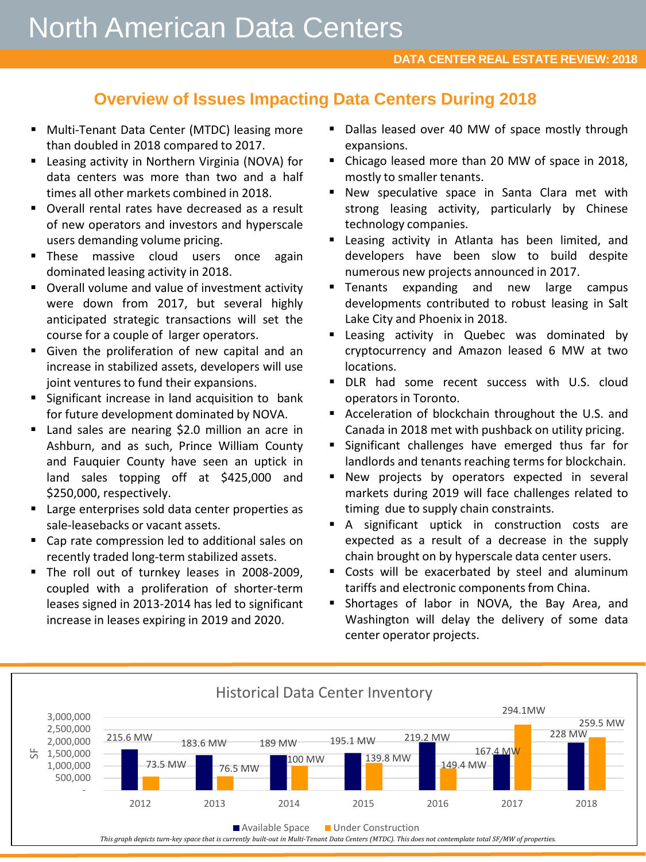## **Overview of Issues Impacting Data Centers During 2018**

- **Multi-Tenant Data Center (MTDC) leasing more** than doubled in 2018 compared to 2017.
- **E** Leasing activity in Northern Virginia (NOVA) for data centers was more than two and a half times all other markets combined in 2018.
- **Diverall rental rates have decreased as a result** of new operators and investors and hyperscale users demanding volume pricing.
- **These massive cloud users once again** dominated leasing activity in 2018.
- **Diverall volume and value of investment activity** were down from 2017, but several highly anticipated strategic transactions will set the course for a couple of larger operators.
- Given the proliferation of new capital and an increase in stabilized assets, developers will use joint ventures to fund their expansions.
- **Significant increase in land acquisition to bank** for future development dominated by NOVA.
- **E** Land sales are nearing \$2.0 million an acre in Ashburn, and as such, Prince William County and Fauquier County have seen an uptick in land sales topping off at \$425,000 and \$250,000, respectively.
- **EXTER** Large enterprises sold data center properties as sale-leasebacks or vacant assets.
- Cap rate compression led to additional sales on recently traded long-term stabilized assets.
- The roll out of turnkey leases in 2008-2009, coupled with a proliferation of shorter-term leases signed in 2013-2014 has led to significant increase in leases expiring in 2019 and 2020.
- Dallas leased over 40 MW of space mostly through expansions.
- Chicago leased more than 20 MW of space in 2018, mostly to smaller tenants.
- New speculative space in Santa Clara met with strong leasing activity, particularly by Chinese technology companies.
- **E** Leasing activity in Atlanta has been limited, and developers have been slow to build despite numerous new projects announced in 2017.
- **Tenants expanding and new large campus** developments contributed to robust leasing in Salt Lake City and Phoenix in 2018.
- **Example 2** Leasing activity in Quebec was dominated by cryptocurrency and Amazon leased 6 MW at two locations.
- **DLR** had some recent success with U.S. cloud operators in Toronto.
- Acceleration of blockchain throughout the U.S. and Canada in 2018 met with pushback on utility pricing.
- **Significant challenges have emerged thus far for** landlords and tenants reaching terms for blockchain.
- **New projects by operators expected in several** markets during 2019 will face challenges related to timing due to supply chain constraints.
- A significant uptick in construction costs are expected as a result of a decrease in the supply chain brought on by hyperscale data center users.
- Costs will be exacerbated by steel and aluminum tariffs and electronic components from China.
- **Shortages of labor in NOVA, the Bay Area, and** Washington will delay the delivery of some data center operator projects.

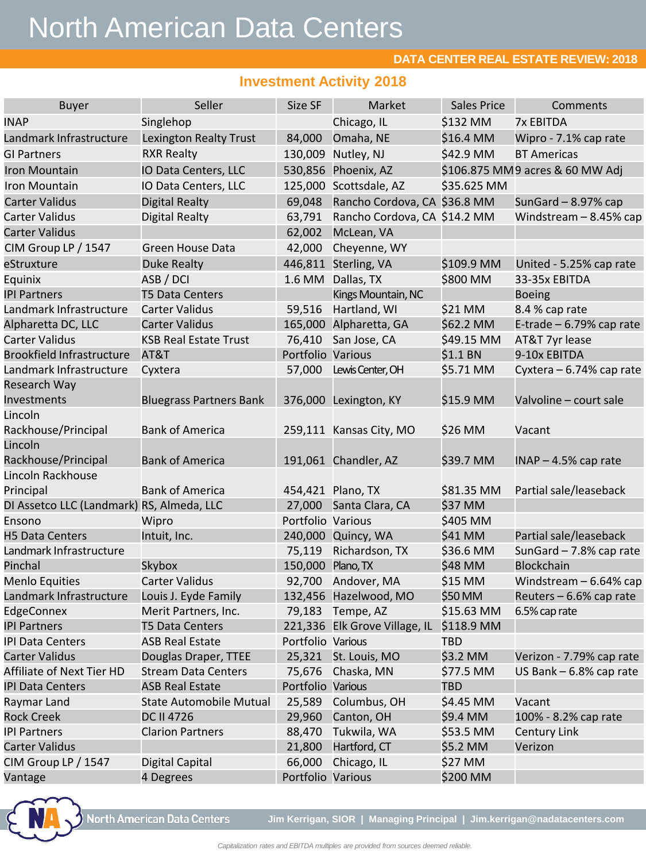# North American Data Centers

ANNUAL REPORT

### **DATA CENTER REAL ESTATE REVIEW: 2018**

## **Investment Activity 2018**

| <b>Buyer</b>                              | Seller                         | Size SF           | Market                        | Sales Price | Comments                        |  |
|-------------------------------------------|--------------------------------|-------------------|-------------------------------|-------------|---------------------------------|--|
| <b>INAP</b>                               | Singlehop                      |                   | Chicago, IL                   | \$132 MM    | <b>7x EBITDA</b>                |  |
| Landmark Infrastructure                   | <b>Lexington Realty Trust</b>  | 84,000            | Omaha, NE                     | \$16.4 MM   | Wipro - 7.1% cap rate           |  |
| <b>GI Partners</b>                        | <b>RXR Realty</b>              | 130,009           | Nutley, NJ                    | \$42.9 MM   | <b>BT Americas</b>              |  |
| Iron Mountain                             | IO Data Centers, LLC           | 530,856           | Phoenix, AZ                   |             | \$106.875 MM9 acres & 60 MW Adj |  |
| Iron Mountain                             | IO Data Centers, LLC           | 125,000           | Scottsdale, AZ                | \$35.625 MM |                                 |  |
| <b>Carter Validus</b>                     | Digital Realty                 | 69,048            | Rancho Cordova, CA \$36.8 MM  |             | SunGard $-8.97%$ cap            |  |
| Carter Validus                            | Digital Realty                 | 63,791            | Rancho Cordova, CA \$14.2 MM  |             | Windstream $-8.45%$ cap         |  |
| Carter Validus                            |                                | 62,002            | McLean, VA                    |             |                                 |  |
| CIM Group LP / 1547                       | Green House Data               | 42,000            | Cheyenne, WY                  |             |                                 |  |
| eStruxture                                | <b>Duke Realty</b>             | 446,811           | Sterling, VA                  | \$109.9 MM  | United - 5.25% cap rate         |  |
| Equinix                                   | ASB / DCI                      | 1.6 MM            | Dallas, TX                    | \$800 MM    | 33-35x EBITDA                   |  |
| <b>IPI Partners</b>                       | <b>T5 Data Centers</b>         |                   | Kings Mountain, NC            |             | <b>Boeing</b>                   |  |
| Landmark Infrastructure                   | <b>Carter Validus</b>          | 59,516            | Hartland, WI                  | \$21 MM     | 8.4 % cap rate                  |  |
| Alpharetta DC, LLC                        | Carter Validus                 |                   | 165,000 Alpharetta, GA        | \$62.2 MM   | E-trade $-6.79%$ cap rate       |  |
| <b>Carter Validus</b>                     | <b>KSB Real Estate Trust</b>   | 76,410            | San Jose, CA                  | \$49.15 MM  | AT&T 7yr lease                  |  |
| <b>Brookfield Infrastructure</b>          | AT&T                           | Portfolio Various |                               | \$1.1 BN    | 9-10x EBITDA                    |  |
| Landmark Infrastructure                   | Cyxtera                        | 57,000            | Lewis Center, OH              | \$5.71 MM   | Cyxtera - 6.74% cap rate        |  |
| Research Way                              |                                |                   |                               |             |                                 |  |
| Investments                               | <b>Bluegrass Partners Bank</b> |                   | 376,000 Lexington, KY         | \$15.9 MM   | Valvoline - court sale          |  |
| Lincoln                                   |                                |                   |                               |             |                                 |  |
| Rackhouse/Principal                       | <b>Bank of America</b>         |                   | 259,111 Kansas City, MO       | \$26 MM     | Vacant                          |  |
| Lincoln                                   |                                |                   |                               |             |                                 |  |
| Rackhouse/Principal                       | <b>Bank of America</b>         |                   | 191,061 Chandler, AZ          | \$39.7 MM   | $INAP - 4.5%$ cap rate          |  |
| Lincoln Rackhouse                         |                                |                   |                               |             |                                 |  |
| Principal                                 | <b>Bank of America</b>         |                   | 454,421 Plano, TX             | \$81.35 MM  | Partial sale/leaseback          |  |
| DI Assetco LLC (Landmark) RS, Almeda, LLC |                                | 27,000            | Santa Clara, CA               | \$37 MM     |                                 |  |
| Ensono                                    | Wipro                          | Portfolio Various |                               | \$405 MM    |                                 |  |
| <b>H5 Data Centers</b>                    | Intuit, Inc.                   | 240,000           | Quincy, WA                    | \$41 MM     | Partial sale/leaseback          |  |
| Landmark Infrastructure                   |                                | 75,119            | Richardson, TX                | \$36.6 MM   | SunGard - 7.8% cap rate         |  |
| Pinchal                                   | Skybox                         | 150,000           | Plano, TX                     | \$48 MM     | <b>Blockchain</b>               |  |
| Menlo Equities                            | <b>Carter Validus</b>          | 92,700            | Andover, MA                   | \$15 MM     | Windstream $-6.64\%$ cap        |  |
| Landmark Infrastructure                   | Louis J. Eyde Family           | 132,456           | Hazelwood, MO                 | \$50 MM     | Reuters - 6.6% cap rate         |  |
| EdgeConnex                                | Merit Partners, Inc.           | 79,183            | Tempe, AZ                     | \$15.63 MM  | 6.5% cap rate                   |  |
| <b>IPI Partners</b>                       | <b>T5 Data Centers</b>         |                   | 221,336 Elk Grove Village, IL | \$118.9 MM  |                                 |  |
| IPI Data Centers                          | <b>ASB Real Estate</b>         | Portfolio Various |                               | <b>TBD</b>  |                                 |  |
| Carter Validus                            | Douglas Draper, TTEE           | 25,321            | St. Louis, MO                 | \$3.2 MM    | Verizon - 7.79% cap rate        |  |
| Affiliate of Next Tier HD                 | <b>Stream Data Centers</b>     | 75,676            | Chaska, MN                    | \$77.5 MM   | US Bank $-6.8\%$ cap rate       |  |
| <b>IPI Data Centers</b>                   | <b>ASB Real Estate</b>         | Portfolio Various |                               | <b>TBD</b>  |                                 |  |
| Raymar Land                               | <b>State Automobile Mutual</b> | 25,589            | Columbus, OH                  | \$4.45 MM   | Vacant                          |  |
| <b>Rock Creek</b>                         | DC II 4726                     | 29,960            | Canton, OH                    | \$9.4 MM    | 100% - 8.2% cap rate            |  |
| <b>IPI Partners</b>                       | <b>Clarion Partners</b>        | 88,470            | Tukwila, WA                   | \$53.5 MM   | <b>Century Link</b>             |  |
| Carter Validus                            |                                | 21,800            | Hartford, CT                  | \$5.2 MM    | Verizon                         |  |
| CIM Group LP / 1547                       | Digital Capital                | 66,000            | Chicago, IL                   | \$27 MM     |                                 |  |
| Vantage                                   | 4 Degrees                      | Portfolio Various |                               | \$200 MM    |                                 |  |



**North American Data Centers** 

**Jim Kerrigan, SIOR | Managing Principal | Jim.kerrigan@nadatacenters.com**